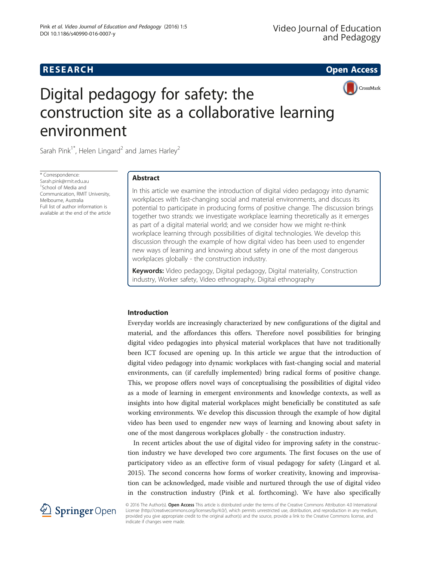# **RESEARCH RESEARCH CONSUMING ACCESS**



# Digital pedagogy for safety: the construction site as a collaborative learning environment

Sarah Pink<sup>1\*</sup>, Helen Lingard<sup>2</sup> and James Harley<sup>2</sup>

\* Correspondence: [Sarah.pink@rmit.edu.au](mailto:Sarah.pink@rmit.edu.au) 1 School of Media and Communication, RMIT University, Melbourne, Australia Full list of author information is available at the end of the article

# Abstract

In this article we examine the introduction of digital video pedagogy into dynamic workplaces with fast-changing social and material environments, and discuss its potential to participate in producing forms of positive change. The discussion brings together two strands: we investigate workplace learning theoretically as it emerges as part of a digital material world; and we consider how we might re-think workplace learning through possibilities of digital technologies. We develop this discussion through the example of how digital video has been used to engender new ways of learning and knowing about safety in one of the most dangerous workplaces globally - the construction industry.

Keywords: Video pedagogy, Digital pedagogy, Digital materiality, Construction industry, Worker safety, Video ethnography, Digital ethnography

#### Introduction

Everyday worlds are increasingly characterized by new configurations of the digital and material, and the affordances this offers. Therefore novel possibilities for bringing digital video pedagogies into physical material workplaces that have not traditionally been ICT focused are opening up. In this article we argue that the introduction of digital video pedagogy into dynamic workplaces with fast-changing social and material environments, can (if carefully implemented) bring radical forms of positive change. This, we propose offers novel ways of conceptualising the possibilities of digital video as a mode of learning in emergent environments and knowledge contexts, as well as insights into how digital material workplaces might beneficially be constituted as safe working environments. We develop this discussion through the example of how digital video has been used to engender new ways of learning and knowing about safety in one of the most dangerous workplaces globally - the construction industry.

In recent articles about the use of digital video for improving safety in the construction industry we have developed two core arguments. The first focuses on the use of participatory video as an effective form of visual pedagogy for safety (Lingard et al. [2015](#page-13-0)). The second concerns how forms of worker creativity, knowing and improvisation can be acknowledged, made visible and nurtured through the use of digital video in the construction industry (Pink et al. forthcoming). We have also specifically



© 2016 The Author(s). Open Access This article is distributed under the terms of the Creative Commons Attribution 4.0 International License [\(http://creativecommons.org/licenses/by/4.0/](http://creativecommons.org/licenses/by/4.0/)), which permits unrestricted use, distribution, and reproduction in any medium, provided you give appropriate credit to the original author(s) and the source, provide a link to the Creative Commons license, and indicate if changes were made.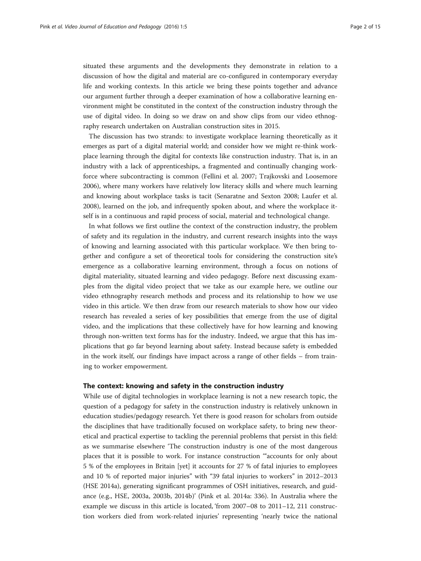situated these arguments and the developments they demonstrate in relation to a discussion of how the digital and material are co-configured in contemporary everyday life and working contexts. In this article we bring these points together and advance our argument further through a deeper examination of how a collaborative learning environment might be constituted in the context of the construction industry through the use of digital video. In doing so we draw on and show clips from our video ethnography research undertaken on Australian construction sites in 2015.

The discussion has two strands: to investigate workplace learning theoretically as it emerges as part of a digital material world; and consider how we might re-think workplace learning through the digital for contexts like construction industry. That is, in an industry with a lack of apprenticeships, a fragmented and continually changing workforce where subcontracting is common (Fellini et al. [2007](#page-13-0); Trajkovski and Loosemore [2006](#page-14-0)), where many workers have relatively low literacy skills and where much learning and knowing about workplace tasks is tacit (Senaratne and Sexton [2008;](#page-13-0) Laufer et al. [2008](#page-13-0)), learned on the job, and infrequently spoken about, and where the workplace itself is in a continuous and rapid process of social, material and technological change.

In what follows we first outline the context of the construction industry, the problem of safety and its regulation in the industry, and current research insights into the ways of knowing and learning associated with this particular workplace. We then bring together and configure a set of theoretical tools for considering the construction site's emergence as a collaborative learning environment, through a focus on notions of digital materiality, situated learning and video pedagogy. Before next discussing examples from the digital video project that we take as our example here, we outline our video ethnography research methods and process and its relationship to how we use video in this article. We then draw from our research materials to show how our video research has revealed a series of key possibilities that emerge from the use of digital video, and the implications that these collectively have for how learning and knowing through non-written text forms has for the industry. Indeed, we argue that this has implications that go far beyond learning about safety. Instead because safety is embedded in the work itself, our findings have impact across a range of other fields – from training to worker empowerment.

#### The context: knowing and safety in the construction industry

While use of digital technologies in workplace learning is not a new research topic, the question of a pedagogy for safety in the construction industry is relatively unknown in education studies/pedagogy research. Yet there is good reason for scholars from outside the disciplines that have traditionally focused on workplace safety, to bring new theoretical and practical expertise to tackling the perennial problems that persist in this field: as we summarise elsewhere 'The construction industry is one of the most dangerous places that it is possible to work. For instance construction '"accounts for only about 5 % of the employees in Britain [yet] it accounts for 27 % of fatal injuries to employees and 10 % of reported major injuries" with "39 fatal injuries to workers" in 2012–2013 (HSE [2014a\)](#page-13-0), generating significant programmes of OSH initiatives, research, and guidance (e.g., HSE, [2003a, 2003b](#page-13-0), [2014b\)](#page-13-0)' (Pink et al. [2014a:](#page-13-0) 336). In Australia where the example we discuss in this article is located, 'from 2007–08 to 2011–12, 211 construction workers died from work-related injuries' representing 'nearly twice the national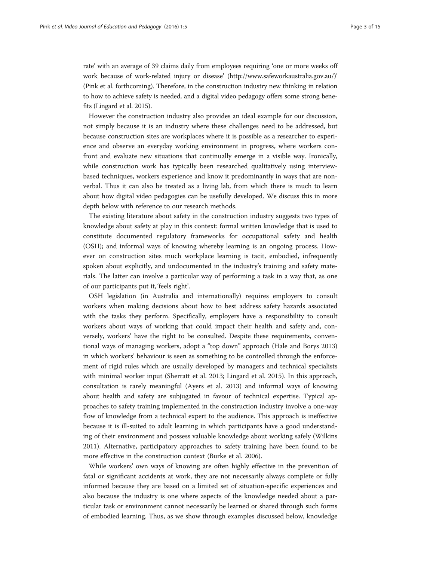rate' with an average of 39 claims daily from employees requiring 'one or more weeks off work because of work-related injury or disease' ([http://www.safeworkaustralia.gov.au/\)](http://www.safeworkaustralia.gov.au/)' (Pink et al. forthcoming). Therefore, in the construction industry new thinking in relation to how to achieve safety is needed, and a digital video pedagogy offers some strong benefits (Lingard et al. [2015\)](#page-13-0).

However the construction industry also provides an ideal example for our discussion, not simply because it is an industry where these challenges need to be addressed, but because construction sites are workplaces where it is possible as a researcher to experience and observe an everyday working environment in progress, where workers confront and evaluate new situations that continually emerge in a visible way. Ironically, while construction work has typically been researched qualitatively using interviewbased techniques, workers experience and know it predominantly in ways that are nonverbal. Thus it can also be treated as a living lab, from which there is much to learn about how digital video pedagogies can be usefully developed. We discuss this in more depth below with reference to our research methods.

The existing literature about safety in the construction industry suggests two types of knowledge about safety at play in this context: formal written knowledge that is used to constitute documented regulatory frameworks for occupational safety and health (OSH); and informal ways of knowing whereby learning is an ongoing process. However on construction sites much workplace learning is tacit, embodied, infrequently spoken about explicitly, and undocumented in the industry's training and safety materials. The latter can involve a particular way of performing a task in a way that, as one of our participants put it, 'feels right'.

OSH legislation (in Australia and internationally) requires employers to consult workers when making decisions about how to best address safety hazards associated with the tasks they perform. Specifically, employers have a responsibility to consult workers about ways of working that could impact their health and safety and, conversely, workers' have the right to be consulted. Despite these requirements, conventional ways of managing workers, adopt a "top down" approach (Hale and Borys [2013](#page-13-0)) in which workers' behaviour is seen as something to be controlled through the enforcement of rigid rules which are usually developed by managers and technical specialists with minimal worker input (Sherratt et al. [2013](#page-13-0); Lingard et al. [2015\)](#page-13-0). In this approach, consultation is rarely meaningful (Ayers et al. [2013\)](#page-13-0) and informal ways of knowing about health and safety are subjugated in favour of technical expertise. Typical approaches to safety training implemented in the construction industry involve a one-way flow of knowledge from a technical expert to the audience. This approach is ineffective because it is ill-suited to adult learning in which participants have a good understanding of their environment and possess valuable knowledge about working safely (Wilkins [2011](#page-14-0)). Alternative, participatory approaches to safety training have been found to be more effective in the construction context (Burke et al. [2006\)](#page-13-0).

While workers' own ways of knowing are often highly effective in the prevention of fatal or significant accidents at work, they are not necessarily always complete or fully informed because they are based on a limited set of situation-specific experiences and also because the industry is one where aspects of the knowledge needed about a particular task or environment cannot necessarily be learned or shared through such forms of embodied learning. Thus, as we show through examples discussed below, knowledge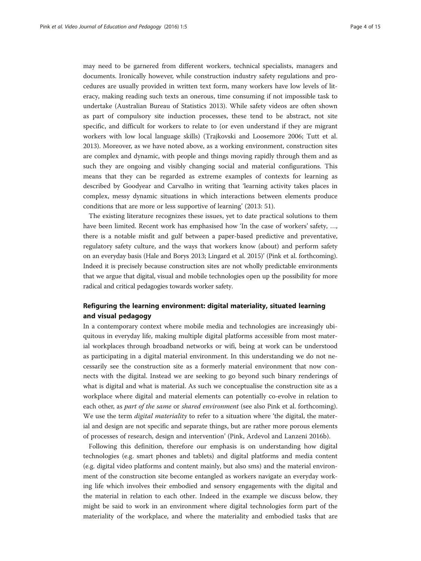may need to be garnered from different workers, technical specialists, managers and documents. Ironically however, while construction industry safety regulations and procedures are usually provided in written text form, many workers have low levels of literacy, making reading such texts an onerous, time consuming if not impossible task to undertake (Australian Bureau of Statistics [2013\)](#page-12-0). While safety videos are often shown as part of compulsory site induction processes, these tend to be abstract, not site specific, and difficult for workers to relate to (or even understand if they are migrant workers with low local language skills) (Trajkovski and Loosemore [2006](#page-14-0); Tutt et al. [2013](#page-14-0)). Moreover, as we have noted above, as a working environment, construction sites are complex and dynamic, with people and things moving rapidly through them and as such they are ongoing and visibly changing social and material configurations. This means that they can be regarded as extreme examples of contexts for learning as described by Goodyear and Carvalho in writing that 'learning activity takes places in complex, messy dynamic situations in which interactions between elements produce conditions that are more or less supportive of learning' [\(2013](#page-13-0): 51).

The existing literature recognizes these issues, yet to date practical solutions to them have been limited. Recent work has emphasised how 'In the case of workers' safety, …, there is a notable misfit and gulf between a paper-based predictive and preventative, regulatory safety culture, and the ways that workers know (about) and perform safety on an everyday basis (Hale and Borys [2013;](#page-13-0) Lingard et al. [2015](#page-13-0))' (Pink et al. forthcoming). Indeed it is precisely because construction sites are not wholly predictable environments that we argue that digital, visual and mobile technologies open up the possibility for more radical and critical pedagogies towards worker safety.

# Refiguring the learning environment: digital materiality, situated learning and visual pedagogy

In a contemporary context where mobile media and technologies are increasingly ubiquitous in everyday life, making multiple digital platforms accessible from most material workplaces through broadband networks or wifi, being at work can be understood as participating in a digital material environment. In this understanding we do not necessarily see the construction site as a formerly material environment that now connects with the digital. Instead we are seeking to go beyond such binary renderings of what is digital and what is material. As such we conceptualise the construction site as a workplace where digital and material elements can potentially co-evolve in relation to each other, as *part of the same or shared environment* (see also Pink et al. forthcoming). We use the term *digital materiality* to refer to a situation where 'the digital, the material and design are not specific and separate things, but are rather more porous elements of processes of research, design and intervention' (Pink, Ardevol and Lanzeni [2016b](#page-13-0)).

Following this definition, therefore our emphasis is on understanding how digital technologies (e.g. smart phones and tablets) and digital platforms and media content (e.g. digital video platforms and content mainly, but also sms) and the material environment of the construction site become entangled as workers navigate an everyday working life which involves their embodied and sensory engagements with the digital and the material in relation to each other. Indeed in the example we discuss below, they might be said to work in an environment where digital technologies form part of the materiality of the workplace, and where the materiality and embodied tasks that are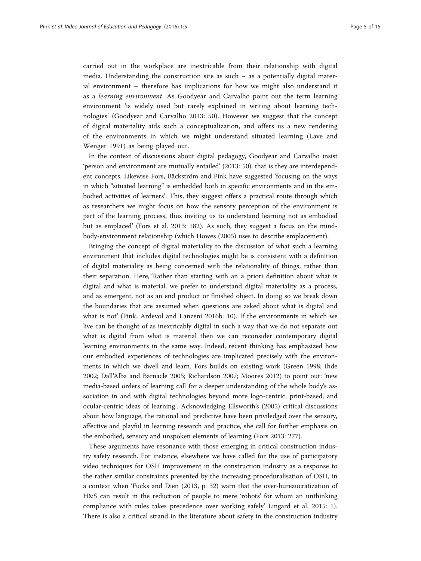carried out in the workplace are inextricable from their relationship with digital media. Understanding the construction site as such – as a potentially digital material environment – therefore has implications for how we might also understand it as a learning environment. As Goodyear and Carvalho point out the term learning environment 'is widely used but rarely explained in writing about learning technologies' (Goodyear and Carvalho [2013:](#page-13-0) 50). However we suggest that the concept of digital materiality aids such a conceptualization, and offers us a new rendering of the environments in which we might understand situated learning (Lave and Wenger [1991\)](#page-13-0) as being played out.

In the context of discussions about digital pedagogy, Goodyear and Carvalho insist 'person and environment are mutually entailed' ([2013:](#page-13-0) 50), that is they are interdependent concepts. Likewise Fors, Bäckström and Pink have suggested 'focusing on the ways in which "situated learning" is embedded both in specific environments and in the embodied activities of learners'. This, they suggest offers a practical route through which as researchers we might focus on how the sensory perception of the environment is part of the learning process, thus inviting us to understand learning not as embodied but as emplaced' (Fors et al. [2013:](#page-13-0) 182). As such, they suggest a focus on the mindbody-environment relationship (which Howes ([2005](#page-13-0)) uses to describe emplacement).

Bringing the concept of digital materiality to the discussion of what such a learning environment that includes digital technologies might be is consistent with a definition of digital materiality as being concerned with the relationality of things, rather than their separation. Here, 'Rather than starting with an a priori definition about what is digital and what is material, we prefer to understand digital materiality as a process, and as emergent, not as an end product or finished object. In doing so we break down the boundaries that are assumed when questions are asked about what is digital and what is not' (Pink, Ardevol and Lanzeni [2016b:](#page-13-0) 10). If the environments in which we live can be thought of as inextricably digital in such a way that we do not separate out what is digital from what is material then we can reconsider contemporary digital learning environments in the same way. Indeed, recent thinking has emphasized how our embodied experiences of technologies are implicated precisely with the environments in which we dwell and learn. Fors builds on existing work (Green [1998](#page-13-0); Ihde [2002](#page-13-0); Dall'Alba and Barnacle [2005](#page-13-0); Richardson [2007](#page-13-0); Moores [2012\)](#page-13-0) to point out: 'new media-based orders of learning call for a deeper understanding of the whole body's association in and with digital technologies beyond more logo-centric, print-based, and ocular-centric ideas of learning'. Acknowledging Ellsworth's ([2005](#page-13-0)) critical discussions about how language, the rational and predictive have been priviledged over the sensory, affective and playful in learning research and practice, she call for further emphasis on the embodied, sensory and unspoken elements of learning (Fors [2013:](#page-13-0) 277).

These arguments have resonance with those emerging in critical construction industry safety research. For instance, elsewhere we have called for the use of participatory video techniques for OSH improvement in the construction industry as a response to the rather similar constraints presented by the increasing proceduralisation of OSH, in a context when 'Fucks and Dien ([2013,](#page-13-0) p. 32) warn that the over-bureaucratization of H&S can result in the reduction of people to mere 'robots' for whom an unthinking compliance with rules takes precedence over working safely' Lingard et al. [2015:](#page-13-0) 1). There is also a critical strand in the literature about safety in the construction industry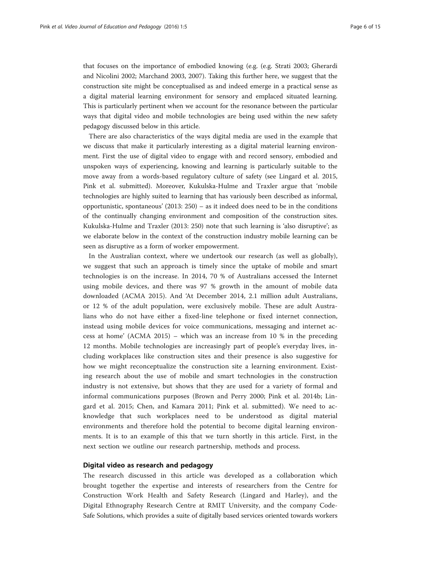that focuses on the importance of embodied knowing (e.g. (e.g. Strati [2003;](#page-14-0) Gherardi and Nicolini [2002](#page-13-0); Marchand [2003](#page-13-0), [2007](#page-13-0)). Taking this further here, we suggest that the construction site might be conceptualised as and indeed emerge in a practical sense as a digital material learning environment for sensory and emplaced situated learning. This is particularly pertinent when we account for the resonance between the particular ways that digital video and mobile technologies are being used within the new safety pedagogy discussed below in this article.

There are also characteristics of the ways digital media are used in the example that we discuss that make it particularly interesting as a digital material learning environment. First the use of digital video to engage with and record sensory, embodied and unspoken ways of experiencing, knowing and learning is particularly suitable to the move away from a words-based regulatory culture of safety (see Lingard et al. [2015](#page-13-0), Pink et al. submitted). Moreover, Kukulska-Hulme and Traxler argue that 'mobile technologies are highly suited to learning that has variously been described as informal, opportunistic, spontaneous' ([2013](#page-13-0): 250) – as it indeed does need to be in the conditions of the continually changing environment and composition of the construction sites. Kukulska-Hulme and Traxler [\(2013:](#page-13-0) 250) note that such learning is 'also disruptive'; as we elaborate below in the context of the construction industry mobile learning can be seen as disruptive as a form of worker empowerment.

In the Australian context, where we undertook our research (as well as globally), we suggest that such an approach is timely since the uptake of mobile and smart technologies is on the increase. In 2014, 70 % of Australians accessed the Internet using mobile devices, and there was 97 % growth in the amount of mobile data downloaded (ACMA [2015](#page-12-0)). And 'At December 2014, 2.1 million adult Australians, or 12 % of the adult population, were exclusively mobile. These are adult Australians who do not have either a fixed-line telephone or fixed internet connection, instead using mobile devices for voice communications, messaging and internet access at home' (ACMA [2015\)](#page-12-0) – which was an increase from 10 % in the preceding 12 months. Mobile technologies are increasingly part of people's everyday lives, including workplaces like construction sites and their presence is also suggestive for how we might reconceptualize the construction site a learning environment. Existing research about the use of mobile and smart technologies in the construction industry is not extensive, but shows that they are used for a variety of formal and informal communications purposes (Brown and Perry [2000](#page-13-0); Pink et al. [2014b;](#page-13-0) Lingard et al. [2015](#page-13-0); Chen, and Kamara [2011;](#page-13-0) Pink et al. submitted). We need to acknowledge that such workplaces need to be understood as digital material environments and therefore hold the potential to become digital learning environments. It is to an example of this that we turn shortly in this article. First, in the next section we outline our research partnership, methods and process.

#### Digital video as research and pedagogy

The research discussed in this article was developed as a collaboration which brought together the expertise and interests of researchers from the Centre for Construction Work Health and Safety Research (Lingard and Harley), and the Digital Ethnography Research Centre at RMIT University, and the company Code-Safe Solutions, which provides a suite of digitally based services oriented towards workers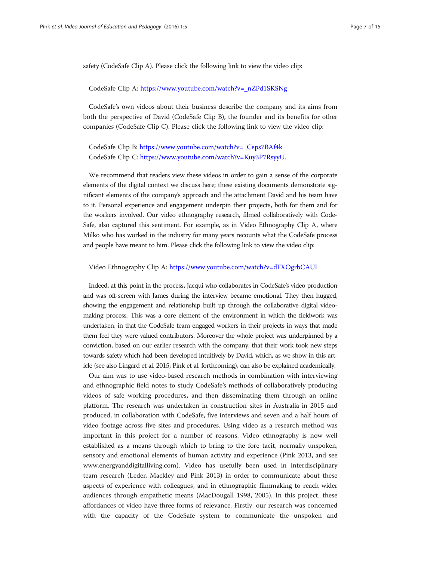safety (CodeSafe Clip A). Please click the following link to view the video clip:

#### CodeSafe Clip A: [https://www.youtube.com/watch?v=\\_nZPd1SKSNg](https://www.youtube.com/watch?v=_nZPd1SKSNg)

CodeSafe's own videos about their business describe the company and its aims from both the perspective of David (CodeSafe Clip B), the founder and its benefits for other companies (CodeSafe Clip C). Please click the following link to view the video clip:

# CodeSafe Clip B: [https://www.youtube.com/watch?v=\\_Ceps7BAf4k](https://www.youtube.com/watch?v=_Ceps7BAf4k) CodeSafe Clip C: [https://www.youtube.com/watch?v=Kuy3P7RsyyU.](https://www.youtube.com/watch?v=Kuy3P7RsyyU)

We recommend that readers view these videos in order to gain a sense of the corporate elements of the digital context we discuss here; these existing documents demonstrate significant elements of the company's approach and the attachment David and his team have to it. Personal experience and engagement underpin their projects, both for them and for the workers involved. Our video ethnography research, filmed collaboratively with Code-Safe, also captured this sentiment. For example, as in Video Ethnography Clip A, where Milko who has worked in the industry for many years recounts what the CodeSafe process and people have meant to him. Please click the following link to view the video clip:

#### Video Ethnography Clip A: <https://www.youtube.com/watch?v=dFXOgrbCAUI>

Indeed, at this point in the process, Jacqui who collaborates in CodeSafe's video production and was off-screen with James during the interview became emotional. They then hugged, showing the engagement and relationship built up through the collaborative digital videomaking process. This was a core element of the environment in which the fieldwork was undertaken, in that the CodeSafe team engaged workers in their projects in ways that made them feel they were valued contributors. Moreover the whole project was underpinned by a conviction, based on our earlier research with the company, that their work took new steps towards safety which had been developed intuitively by David, which, as we show in this article (see also Lingard et al. [2015;](#page-13-0) Pink et al. forthcoming), can also be explained academically.

Our aim was to use video-based research methods in combination with interviewing and ethnographic field notes to study CodeSafe's methods of collaboratively producing videos of safe working procedures, and then disseminating them through an online platform. The research was undertaken in construction sites in Australia in 2015 and produced, in collaboration with CodeSafe, five interviews and seven and a half hours of video footage across five sites and procedures. Using video as a research method was important in this project for a number of reasons. Video ethnography is now well established as a means through which to bring to the fore tacit, normally unspoken, sensory and emotional elements of human activity and experience (Pink [2013,](#page-13-0) and see [www.energyanddigitalliving.com\)](http://www.energyanddigitalliving.com). Video has usefully been used in interdisciplinary team research (Leder, Mackley and Pink [2013\)](#page-13-0) in order to communicate about these aspects of experience with colleagues, and in ethnographic filmmaking to reach wider audiences through empathetic means (MacDougall [1998, 2005](#page-13-0)). In this project, these affordances of video have three forms of relevance. Firstly, our research was concerned with the capacity of the CodeSafe system to communicate the unspoken and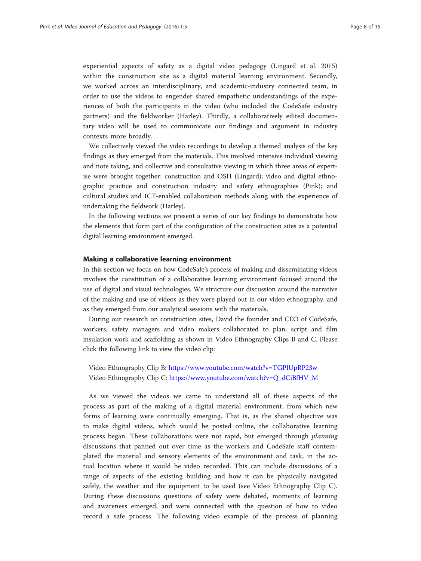experiential aspects of safety as a digital video pedagogy (Lingard et al. [2015](#page-13-0)) within the construction site as a digital material learning environment. Secondly, we worked across an interdisciplinary, and academic-industry connected team, in order to use the videos to engender shared empathetic understandings of the experiences of both the participants in the video (who included the CodeSafe industry partners) and the fieldworker (Harley). Thirdly, a collaboratively edited documentary video will be used to communicate our findings and argument in industry contexts more broadly.

We collectively viewed the video recordings to develop a themed analysis of the key findings as they emerged from the materials. This involved intensive individual viewing and note taking, and collective and consultative viewing in which three areas of expertise were brought together: construction and OSH (Lingard); video and digital ethnographic practice and construction industry and safety ethnographies (Pink); and cultural studies and ICT-enabled collaboration methods along with the experience of undertaking the fieldwork (Harley).

In the following sections we present a series of our key findings to demonstrate how the elements that form part of the configuration of the construction sites as a potential digital learning environment emerged.

#### Making a collaborative learning environment

In this section we focus on how CodeSafe's process of making and disseminating videos involves the constitution of a collaborative learning environment focused around the use of digital and visual technologies. We structure our discussion around the narrative of the making and use of videos as they were played out in our video ethnography, and as they emerged from our analytical sessions with the materials.

During our research on construction sites, David the founder and CEO of CodeSafe, workers, safety managers and video makers collaborated to plan, script and film insulation work and scaffolding as shown in Video Ethnography Clips B and C. Please click the following link to view the video clip:

Video Ethnography Clip B: <https://www.youtube.com/watch?v=TGPIUpRP23w> Video Ethnography Clip C: [https://www.youtube.com/watch?v=Q\\_dCiBfHV\\_M](https://www.youtube.com/watch?v=Q_dCiBfHV_M)

As we viewed the videos we came to understand all of these aspects of the process as part of the making of a digital material environment, from which new forms of learning were continually emerging. That is, as the shared objective was to make digital videos, which would be posted online, the collaborative learning process began. These collaborations were not rapid, but emerged through *planning* discussions that panned out over time as the workers and CodeSafe staff contemplated the material and sensory elements of the environment and task, in the actual location where it would be video recorded. This can include discussions of a range of aspects of the existing building and how it can be physically navigated safely, the weather and the equipment to be used (see Video Ethnography Clip C). During these discussions questions of safety were debated, moments of learning and awareness emerged, and were connected with the question of how to video record a safe process. The following video example of the process of planning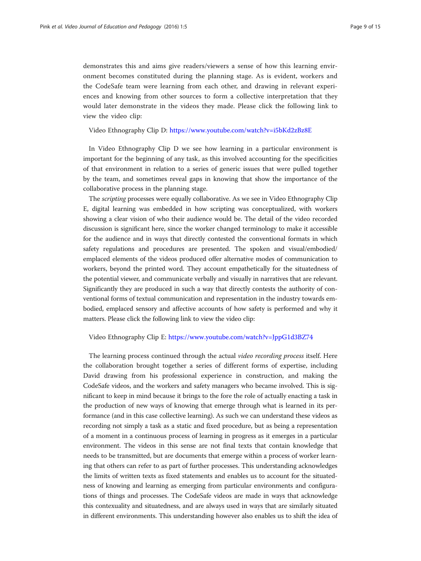demonstrates this and aims give readers/viewers a sense of how this learning environment becomes constituted during the planning stage. As is evident, workers and the CodeSafe team were learning from each other, and drawing in relevant experiences and knowing from other sources to form a collective interpretation that they would later demonstrate in the videos they made. Please click the following link to view the video clip:

Video Ethnography Clip D: <https://www.youtube.com/watch?v=i5bKd2zBz8E>

In Video Ethnography Clip D we see how learning in a particular environment is important for the beginning of any task, as this involved accounting for the specificities of that environment in relation to a series of generic issues that were pulled together by the team, and sometimes reveal gaps in knowing that show the importance of the collaborative process in the planning stage.

The scripting processes were equally collaborative. As we see in Video Ethnography Clip E, digital learning was embedded in how scripting was conceptualized, with workers showing a clear vision of who their audience would be. The detail of the video recorded discussion is significant here, since the worker changed terminology to make it accessible for the audience and in ways that directly contested the conventional formats in which safety regulations and procedures are presented. The spoken and visual/embodied/ emplaced elements of the videos produced offer alternative modes of communication to workers, beyond the printed word. They account empathetically for the situatedness of the potential viewer, and communicate verbally and visually in narratives that are relevant. Significantly they are produced in such a way that directly contests the authority of conventional forms of textual communication and representation in the industry towards embodied, emplaced sensory and affective accounts of how safety is performed and why it matters. Please click the following link to view the video clip:

#### Video Ethnography Clip E: <https://www.youtube.com/watch?v=JppG1d3BZ74>

The learning process continued through the actual video recording process itself. Here the collaboration brought together a series of different forms of expertise, including David drawing from his professional experience in construction, and making the CodeSafe videos, and the workers and safety managers who became involved. This is significant to keep in mind because it brings to the fore the role of actually enacting a task in the production of new ways of knowing that emerge through what is learned in its performance (and in this case collective learning). As such we can understand these videos as recording not simply a task as a static and fixed procedure, but as being a representation of a moment in a continuous process of learning in progress as it emerges in a particular environment. The videos in this sense are not final texts that contain knowledge that needs to be transmitted, but are documents that emerge within a process of worker learning that others can refer to as part of further processes. This understanding acknowledges the limits of written texts as fixed statements and enables us to account for the situatedness of knowing and learning as emerging from particular environments and configurations of things and processes. The CodeSafe videos are made in ways that acknowledge this contexuality and situatedness, and are always used in ways that are similarly situated in different environments. This understanding however also enables us to shift the idea of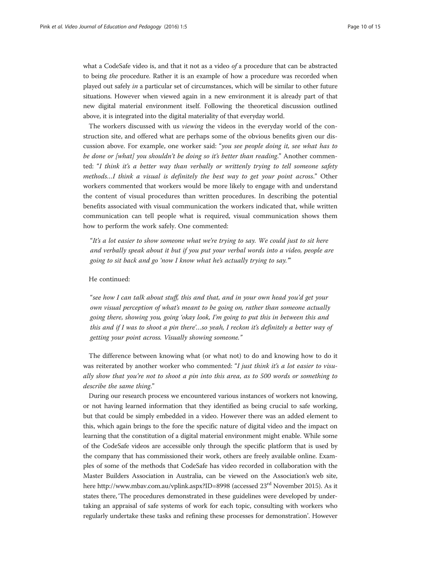what a CodeSafe video is, and that it not as a video of a procedure that can be abstracted to being the procedure. Rather it is an example of how a procedure was recorded when played out safely in a particular set of circumstances, which will be similar to other future situations. However when viewed again in a new environment it is already part of that new digital material environment itself. Following the theoretical discussion outlined above, it is integrated into the digital materiality of that everyday world.

The workers discussed with us viewing the videos in the everyday world of the construction site, and offered what are perhaps some of the obvious benefits given our discussion above. For example, one worker said: "you see people doing it, see what has to be done or [what] you shouldn't be doing so it's better than reading." Another commented: "I think it's a better way than verbally or writtenly trying to tell someone safety methods…I think a visual is definitely the best way to get your point across." Other workers commented that workers would be more likely to engage with and understand the content of visual procedures than written procedures. In describing the potential benefits associated with visual communication the workers indicated that, while written communication can tell people what is required, visual communication shows them how to perform the work safely. One commented:

"It's a lot easier to show someone what we're trying to say. We could just to sit here and verbally speak about it but if you put your verbal words into a video, people are going to sit back and go 'now I know what he's actually trying to say.'"

#### He continued:

"see how I can talk about stuff, this and that, and in your own head you'd get your own visual perception of what's meant to be going on, rather than someone actually going there, showing you, going 'okay look, I'm going to put this in between this and this and if I was to shoot a pin there'…so yeah, I reckon it's definitely a better way of getting your point across. Visually showing someone."

The difference between knowing what (or what not) to do and knowing how to do it was reiterated by another worker who commented: "I just think it's a lot easier to visually show that you're not to shoot a pin into this area, as to 500 words or something to describe the same thing."

During our research process we encountered various instances of workers not knowing, or not having learned information that they identified as being crucial to safe working, but that could be simply embedded in a video. However there was an added element to this, which again brings to the fore the specific nature of digital video and the impact on learning that the constitution of a digital material environment might enable. While some of the CodeSafe videos are accessible only through the specific platform that is used by the company that has commissioned their work, others are freely available online. Examples of some of the methods that CodeSafe has video recorded in collaboration with the Master Builders Association in Australia, can be viewed on the Association's web site, here<http://www.mbav.com.au/vplink.aspx?ID=8998> (accessed 23<sup>rd</sup> November 2015). As it states there, 'The procedures demonstrated in these guidelines were developed by undertaking an appraisal of safe systems of work for each topic, consulting with workers who regularly undertake these tasks and refining these processes for demonstration'. However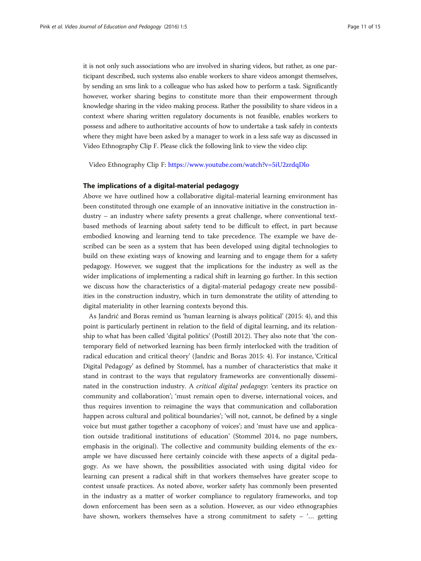it is not only such associations who are involved in sharing videos, but rather, as one participant described, such systems also enable workers to share videos amongst themselves, by sending an sms link to a colleague who has asked how to perform a task. Significantly however, worker sharing begins to constitute more than their empowerment through knowledge sharing in the video making process. Rather the possibility to share videos in a context where sharing written regulatory documents is not feasible, enables workers to possess and adhere to authoritative accounts of how to undertake a task safely in contexts where they might have been asked by a manager to work in a less safe way as discussed in Video Ethnography Clip F. Please click the following link to view the video clip:

Video Ethnography Clip F: <https://www.youtube.com/watch?v=5iU2zrdqDlo>

### The implications of a digital-material pedagogy

Above we have outlined how a collaborative digital-material learning environment has been constituted through one example of an innovative initiative in the construction industry – an industry where safety presents a great challenge, where conventional textbased methods of learning about safety tend to be difficult to effect, in part because embodied knowing and learning tend to take precedence. The example we have described can be seen as a system that has been developed using digital technologies to build on these existing ways of knowing and learning and to engage them for a safety pedagogy. However, we suggest that the implications for the industry as well as the wider implications of implementing a radical shift in learning go further. In this section we discuss how the characteristics of a digital-material pedagogy create new possibilities in the construction industry, which in turn demonstrate the utility of attending to digital materiality in other learning contexts beyond this.

As Jandrić and Boras remind us 'human learning is always political' [\(2015:](#page-13-0) 4), and this point is particularly pertinent in relation to the field of digital learning, and its relationship to what has been called 'digital politics' (Postill [2012](#page-13-0)). They also note that 'the contemporary field of networked learning has been firmly interlocked with the tradition of radical education and critical theory' (Jandric and Boras [2015](#page-13-0): 4). For instance, 'Critical Digital Pedagogy' as defined by Stommel, has a number of characteristics that make it stand in contrast to the ways that regulatory frameworks are conventionally disseminated in the construction industry. A *critical digital pedagogy*: 'centers its practice on community and collaboration'; 'must remain open to diverse, international voices, and thus requires invention to reimagine the ways that communication and collaboration happen across cultural and political boundaries'; 'will not, cannot, be defined by a single voice but must gather together a cacophony of voices'; and 'must have use and application outside traditional institutions of education' (Stommel [2014,](#page-13-0) no page numbers, emphasis in the original). The collective and community building elements of the example we have discussed here certainly coincide with these aspects of a digital pedagogy. As we have shown, the possibilities associated with using digital video for learning can present a radical shift in that workers themselves have greater scope to contest unsafe practices. As noted above, worker safety has commonly been presented in the industry as a matter of worker compliance to regulatory frameworks, and top down enforcement has been seen as a solution. However, as our video ethnographies have shown, workers themselves have a strong commitment to safety – '… getting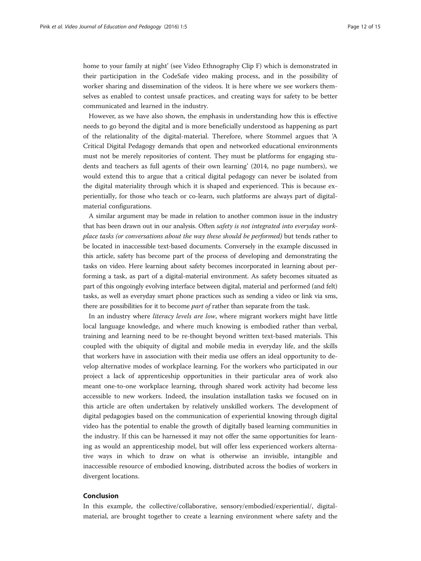home to your family at night' (see Video Ethnography Clip F) which is demonstrated in their participation in the CodeSafe video making process, and in the possibility of worker sharing and dissemination of the videos. It is here where we see workers themselves as enabled to contest unsafe practices, and creating ways for safety to be better communicated and learned in the industry.

However, as we have also shown, the emphasis in understanding how this is effective needs to go beyond the digital and is more beneficially understood as happening as part of the relationality of the digital-material. Therefore, where Stommel argues that 'A Critical Digital Pedagogy demands that open and networked educational environments must not be merely repositories of content. They must be platforms for engaging students and teachers as full agents of their own learning' (2014, no page numbers), we would extend this to argue that a critical digital pedagogy can never be isolated from the digital materiality through which it is shaped and experienced. This is because experientially, for those who teach or co-learn, such platforms are always part of digitalmaterial configurations.

A similar argument may be made in relation to another common issue in the industry that has been drawn out in our analysis. Often safety is not integrated into everyday workplace tasks (or conversations about the way these should be performed) but tends rather to be located in inaccessible text-based documents. Conversely in the example discussed in this article, safety has become part of the process of developing and demonstrating the tasks on video. Here learning about safety becomes incorporated in learning about performing a task, as part of a digital-material environment. As safety becomes situated as part of this ongoingly evolving interface between digital, material and performed (and felt) tasks, as well as everyday smart phone practices such as sending a video or link via sms, there are possibilities for it to become *part of* rather than separate from the task.

In an industry where *literacy levels are low*, where migrant workers might have little local language knowledge, and where much knowing is embodied rather than verbal, training and learning need to be re-thought beyond written text-based materials. This coupled with the ubiquity of digital and mobile media in everyday life, and the skills that workers have in association with their media use offers an ideal opportunity to develop alternative modes of workplace learning. For the workers who participated in our project a lack of apprenticeship opportunities in their particular area of work also meant one-to-one workplace learning, through shared work activity had become less accessible to new workers. Indeed, the insulation installation tasks we focused on in this article are often undertaken by relatively unskilled workers. The development of digital pedagogies based on the communication of experiential knowing through digital video has the potential to enable the growth of digitally based learning communities in the industry. If this can be harnessed it may not offer the same opportunities for learning as would an apprenticeship model, but will offer less experienced workers alternative ways in which to draw on what is otherwise an invisible, intangible and inaccessible resource of embodied knowing, distributed across the bodies of workers in divergent locations.

#### Conclusion

In this example, the collective/collaborative, sensory/embodied/experiential/, digitalmaterial, are brought together to create a learning environment where safety and the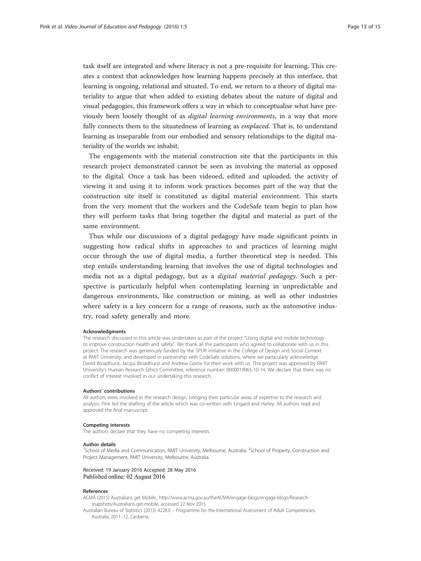<span id="page-12-0"></span>task itself are integrated and where literacy is not a pre-requisite for learning. This creates a context that acknowledges how learning happens precisely at this interface, that learning is ongoing, relational and situated. To end, we return to a theory of digital materiality to argue that when added to existing debates about the nature of digital and visual pedagogies, this framework offers a way in which to conceptualise what have previously been loosely thought of as digital learning environments, in a way that more fully connects them to the situatedness of learning as *emplaced*. That is, to understand learning as inseparable from our embodied and sensory relationships to the digital materiality of the worlds we inhabit.

The engagements with the material construction site that the participants in this research project demonstrated cannot be seen as involving the material as opposed to the digital. Once a task has been videoed, edited and uploaded, the activity of viewing it and using it to inform work practices becomes part of the way that the construction site itself is constituted as digital material environment. This starts from the very moment that the workers and the CodeSafe team begin to plan how they will perform tasks that bring together the digital and material as part of the same environment.

Thus while our discussions of a digital pedagogy have made significant points in suggesting how radical shifts in approaches to and practices of learning might occur through the use of digital media, a further theoretical step is needed. This step entails understanding learning that involves the use of digital technologies and media not as a digital pedagogy, but as a digital material pedagogy. Such a perspective is particularly helpful when contemplating learning in unpredictable and dangerous environments, like construction or mining, as well as other industries where safety is a key concern for a range of reasons, such as the automotive industry, road safety generally and more.

#### Acknowledgments

The research discussed in this article was undertaken as part of the project "Using digital and mobile technology to improve construction health and safety". We thank all the participants who agreed to collaborate with us in this project. The research was generously funded by the SPUR initiative in the College of Design and Social Context at RMIT University, and developed in partnership with CodeSafe solutions, where we particularly acknowledge David Broadhurst, Jacqui Broadhurst and Andrew Gorrie for their work with us. This project was approved by RMIT University's Human Research Ethics Committee, reference number: 0000019065-10-14. We declare that there was no conflict of interest involved in our undertaking this research.

#### Authors' contributions

All authors were involved in the research design, bringing their particular areas of expertise to the research and analysis. Pink led the drafting of the article which was co-written with Lingard and Harley. All authors read and approved the final manuscript.

#### Competing interests

The authors declare that they have no competing interests.

#### Author details

<sup>1</sup>School of Media and Communication, RMIT University, Melbourne, Australia. <sup>2</sup>School of Property, Construction and Project Management, RMIT University, Melbourne, Australia.

#### Received: 19 January 2016 Accepted: 28 May 2016 Published online: 02 August 2016

#### References

ACMA (2015) Australians get Mobile., [http://www.acma.gov.au/theACMA/engage-blogs/engage-blogs/Research](http://www.acma.gov.au/theACMA/engage-blogs/engage-blogs/Research-snapshots/Australians-get-mobile)[snapshots/Australians-get-mobile](http://www.acma.gov.au/theACMA/engage-blogs/engage-blogs/Research-snapshots/Australians-get-mobile), accessed 22 Nov 2015

Australian Bureau of Statistics (2013) 4228.0 – Programme for the International Assessment of Adult Competencies, Australia, 2011–12, Canberra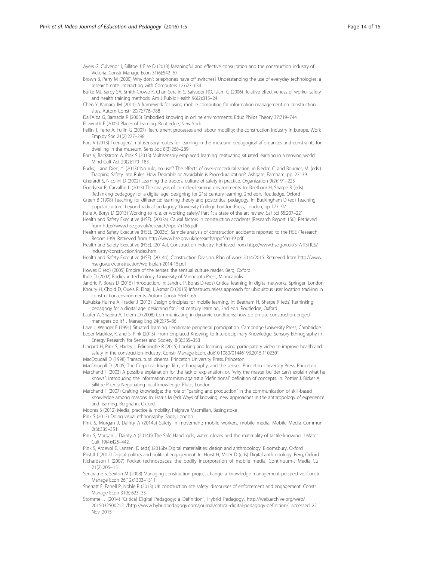<span id="page-13-0"></span>Ayers G, Culvenor J, Sillitoe J, Else D (2013) Meaningful and effective consultation and the construction industry of Victoria. Constr Manage Econ 31(6):542–67

Brown B, Perry M (2000) Why don't telephones have off switches? Understanding the use of everyday technologies: a research note. Interacting with Computers 12:623–634

Burke MJ, Sarpy SA, Smith-Crowe K, Chan-Serafin S, Salvador RO, Islam G (2006) Relative effectiveness of worker safety and health training methods. Am J Public Health 96(2):315–24

Chen Y, Kamara JM (2011) A framework for using mobile computing for information management on construction sites. Autom Constr 20(7):776–788

Dall'Alba G, Barnacle R (2005) Embodied knowing in online environments. Educ Philos Theory 37:719–744 Ellsworth E (2005) Places of learning. Routledge, New York

Fellini I, Ferro A, Fullin G (2007) Recruitment processes and labour mobility: the construction industry in Europe. Work Employ Soc 21(2):277–298

Fors V (2013) Teenagers' multisensory routes for learning in the museum: pedagogical affordances and constraints for dwelling in the museum. Sens Soc 8(3):268–289

Fors V, Backstrom A, Pink S (2013) Multisensory emplaced learning: resituating situated learning in a moving world. Mind Cult Act 20(2):170–183

Fucks, I. and Dien, Y. (2013) 'No rule, no use'? The effects of over-proceduralization, in Bieder, C. and Bourrier, M. (eds.) Trapping Safety into Rules: How Desirable or Avoidable is Proceduralization?, Ashgate, Farnham, pp. 27–39

Gherardi S, Nicolini D (2002) Learning the trade: a culture of safety in practice. Organization 9(2):191–223 Goodyear P, Carvalho L (2013) The analysis of complex learning environments. In: Beetham H, Sharpe R (eds)

Rethinking pedagogy for a digital age: designing for 21st century learning, 2nd edn. Routledge, Oxford Green B (1998) Teaching for difference: learning theory and postcritical pedagogy. In: Buckingham D (ed) Teaching

popular culture: beyond radical pedagogy. University College London Press, London, pp 177–97

Hale A, Borys D (2013) Working to rule, or working safely? Part 1: a state of the art review. Saf Sci 55:207–221 Health and Safety Executive (HSE). (2003a). Causal factors in construction accidents (Research Report 156). Retrieved from<http://www.hse.gov.uk/research/rrpdf/rr156.pdf>

Health and Safety Executive (HSE). (2003b). Sample analysis of construction accidents reported to the HSE (Research Report 139). Retrieved from<http://www.hse.gov.uk/research/rrpdf/rr139.pdf>

Health and Safety Executive (HSE). (2014a). Construction industry. Retrieved from [http://www.hse.gov.uk/STATISTICS/](http://www.hse.gov.uk/STATISTICS/industry/construction/index.htm) [industry/construction/index.htm](http://www.hse.gov.uk/STATISTICS/industry/construction/index.htm)

Health and Safety Executive (HSE). (2014b). Construction Division. Plan of work 2014/2015. Retrieved from [http://www.](http://www.hse.gov.uk/construction/work-plan-2014-15.pdf) [hse.gov.uk/construction/work-plan-2014-15.pdf](http://www.hse.gov.uk/construction/work-plan-2014-15.pdf)

Howes D (ed) (2005) Empire of the senses: the sensual culture reader. Berg, Oxford

Ihde D (2002) Bodies in technology. University of Minnesota Press, Minneapolis

Jandric P, Boras D (2015) Introduction. In: Jandric P, Boras D (eds) Critical learning in digital networks. Springer, London Khoury H, Chdid D, Oueis R, Elhajj I, Asmar D (2015) Infrastructureless approach for ubiquitous user location tracking in construction environments. Autom Constr 56:47–66

Kukulska-Hulme A, Traxler J (2013) Design principles for mobile learning. In: Beetham H, Sharpe R (eds) Rethinking pedagogy for a digital age: designing for 21st century learning, 2nd edn. Routledge, Oxford

Laufer A, Shapira A, Telem D (2008) Communicating in dynamic conditions: how do on-site construction project managers do it? J Manag Eng 24(2):75–86

Lave J, Wenger E (1991) Situated learning. Legitimate peripheral participation. Cambridge University Press, Cambridge Leder Mackley, K. and S. Pink (2013) 'From Emplaced Knowing to Interdisciplinary Knowledge: Sensory Ethnography in Energy Research' for Senses and Society, 8(3):335–353

Lingard H, Pink S, Harley J, Edirisinghe R (2015) Looking and learning: using participatory video to improve health and safety in the construction industry. Constr Manage Econ. doi:[10.1080/01446193.2015.1102301](http://dx.doi.org/10.1080/01446193.2015.1102301)

MacDougall D (1998) Transcultural cinema. Princeton University Press, Princeton

MacDougall D (2005) The Corporeal Image: film, ethnography, and the senses. Princeton University Press, Princeton

Marchand T (2003) A possible explanation for the lack of explanation: or, "why the master builder can't explain what he knows": introducing the information atomism against a "definitional" definition of concepts. In: Pottier J, Bicker A, Sillitoe P (eds) Negotiating local knowledge. Pluto, London

Marchand T (2007) Crafting knowledge: the role of "parsing and production" in the communication of skill-based knowledge among masons. In: Harris M (ed) Ways of knowing, new approaches in the anthropology of experience and learning. Berghahn, Oxford

Moores S (2012) Media, practice & mobility. Palgrave Macmillan, Basingstoke

Pink S (2013) Doing visual ethnography. Sage, London

Pink S, Morgan J, Dainty A (2014a) Safety in movement: mobile workers, mobile media. Mobile Media Commun 2(3):335–351

Pink S, Morgan J, Dainty A (2014b) The Safe Hand: gels, water, gloves and the materiality of tactile knowing. J Mater Cult 19(4):425-442

Pink S, Ardevol E, Lanzeni D (eds) (2016b) Digital materialities: design and anthropology. Bloomsbury, Oxford

Postill J (2012) Digital politics and political engagement. In: Horst H, Miller D (eds) Digital anthropology. Berg, Oxford Richardson I (2007) Pocket technospaces: the bodily incorporation of mobile media. Continuum-J Media Cu 21(2):205–15

Senaratne S, Sexton M (2008) Managing construction project change: a knowledge management perspective. Constr Manage Econ 26(12):1303–1311

Sherratt F, Farrell P, Noble R (2013) UK construction site safety: discourses of enforcement and engagement. Constr Manage Econ 31(6):623–35

Stommel J (2014) 'Critical Digital Pedagogy: a Definition'., Hybrid Pedagogy, [http://web.archive.org/web/](http://web.archive.org/web/20150325002121/http://www.hybridpedagogy.com/journal/critical-digital-pedagogy-definition/) [20150325002121/http://www.hybridpedagogy.com/journal/critical-digital-pedagogy-definition/](http://web.archive.org/web/20150325002121/http://www.hybridpedagogy.com/journal/critical-digital-pedagogy-definition/), accessed 22 Nov 2015